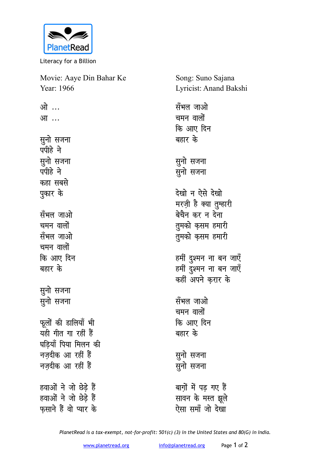

Literacy for a Billion

| Movie: Aaye Din Bahar Ke | Song: Suno Sajana      |
|--------------------------|------------------------|
| Year: 1966               | Lyricist: Anand Bakshi |
| ओ …                      | सँभल जाओ               |
| आ                        | चमन वालों              |
|                          | कि आए दिन              |
| सुनो सजना                | बहार के                |
| पपीहे ने                 |                        |
| सुनो सजना                | सुनो सजना              |
| पपीहे ने                 | सुनो सजना              |
| कहा सबसे                 |                        |
| पुकार के                 | देखो न ऐसे देखो        |
|                          | मरज़ी है क्या तुम्हारी |
| सँभल जाओ                 | बेचैन कर न देना        |
| चमन वालों                | तुमको कृसम हमारी       |
| सॅभल जाओ                 | तुमको कृसम हमारी       |
| चमन वालों                |                        |
| कि आए दिन                | हमीं दुश्मन ना बन जाएँ |
| बहार के                  | हमीं दुश्मन ना बन जाएँ |
|                          | कहीं अपने कुरार के     |
| सुनो सजना                |                        |
| सुनो सजना                | सँभल जाओ               |
|                          | चमन वालों              |
| फूलों की डालियाँ भी      | कि आए दिन              |
| यही गीत गा रहीं हैं      | बहार के                |
| घड़ियाँ पिया मिलन की     |                        |
| नज़दीक आ रहीं हैं        | सुनो सजना              |
| नज़दीक आ रहीं हैं        | सुनो सजना              |
|                          |                        |
| हवाओं ने जो छेड़े हैं    | बाग़ों में पड़ गए हैं  |
| हवाओं ने जो छेड़े हैं    | सावन के मस्त झूले      |
| फ़साने हैं वो प्यार के   | ऐसा समाँ जो देखा       |

*PlanetRead is a tax-exempt, not-for-profit: 501(c) (3) in the United States and 80(G) in India.*